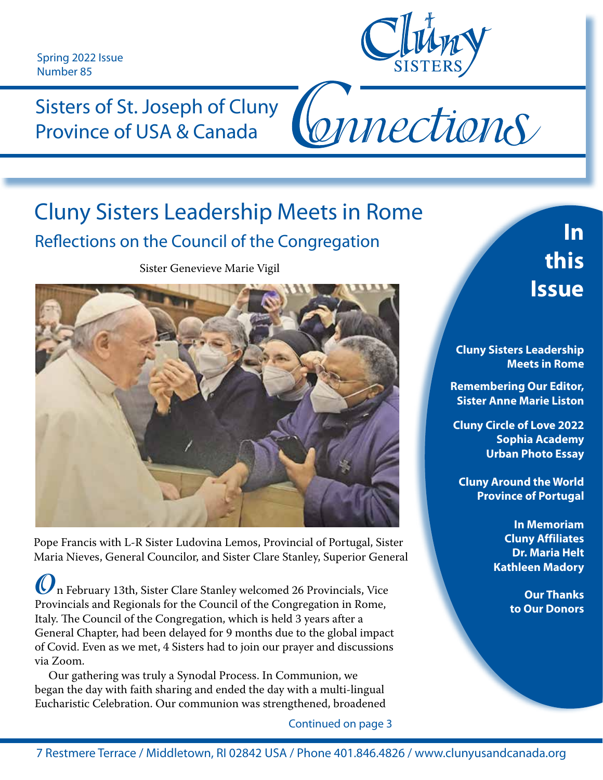Spring 2022 Issue Number 85



Connections

Sisters of St. Joseph of Cluny Province of USA & Canada

### Cluny Sisters Leadership Meets in Rome Reflections on the Council of the Congregation

Sister Genevieve Marie Vigil



Pope Francis with L-R Sister Ludovina Lemos, Provincial of Portugal, Sister Maria Nieves, General Councilor, and Sister Clare Stanley, Superior General

**O**n February 13th, Sister Clare Stanley welcomed 26 Provincials, Vice Provincials and Regionals for the Council of the Congregation in Rome, Italy. The Council of the Congregation, which is held 3 years after a General Chapter, had been delayed for 9 months due to the global impact of Covid. Even as we met, 4 Sisters had to join our prayer and discussions via Zoom.

 Our gathering was truly a Synodal Process. In Communion, we began the day with faith sharing and ended the day with a multi-lingual Eucharistic Celebration. Our communion was strengthened, broadened

Continued on page 3

# **In this Issue**

**Cluny Sisters Leadership Meets in Rome**

**Remembering Our Editor, Sister Anne Marie Liston**

**Cluny Circle of Love 2022 Sophia Academy Urban Photo Essay**

**Cluny Around the World Province of Portugal**

> **In Memoriam Cluny Affiliates Dr. Maria Helt Kathleen Madory**

> > **Our Thanks to Our Donors**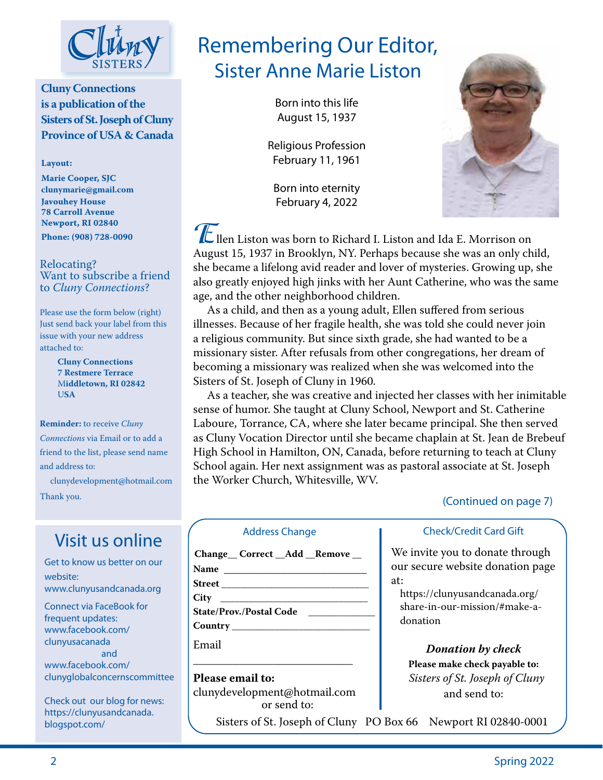

**Cluny Connections is a publication of the Sisters of St. Joseph of Cluny Province of USA & Canada**

**Layout:** 

**Marie Cooper, SJC clunymarie@gmail.com Javouhey House 78 Carroll Avenue Newport, RI 02840 Phone: (908) 728-0090**

#### Relocating? Want to subscribe a friend to *Cluny Connections*?

Please use the form below (right) Just send back your label from this issue with your new address attached to:

> **Cluny Connections 7 Restmere Terrace** M**iddletown, RI 02842** U**SA**

**Reminder:** to receive *Cluny Connections* via Email or to add a friend to the list, please send name and address to:

 clunydevelopment@hotmail.com Thank you.

### Visit us online

Get to know us better on our website: www.clunyusandcanada.org

Connect via FaceBook for frequent updates: www.facebook.com/ clunyusacanada and www.facebook.com/ clunyglobalconcernscommittee

Check out our blog for news: https://clunyusandcanada. blogspot.com/

### Remembering Our Editor, Sister Anne Marie Liston

Born into this life August 15, 1937

Religious Profession February 11, 1961

Born into eternity February 4, 2022



**E**llen Liston was born to Richard I. Liston and Ida E. Morrison on August 15, 1937 in Brooklyn, NY. Perhaps because she was an only child, she became a lifelong avid reader and lover of mysteries. Growing up, she also greatly enjoyed high jinks with her Aunt Catherine, who was the same age, and the other neighborhood children.

 As a child, and then as a young adult, Ellen suffered from serious illnesses. Because of her fragile health, she was told she could never join a religious community. But since sixth grade, she had wanted to be a missionary sister. After refusals from other congregations, her dream of becoming a missionary was realized when she was welcomed into the Sisters of St. Joseph of Cluny in 1960.

 As a teacher, she was creative and injected her classes with her inimitable sense of humor. She taught at Cluny School, Newport and St. Catherine Laboure, Torrance, CA, where she later became principal. She then served as Cluny Vocation Director until she became chaplain at St. Jean de Brebeuf High School in Hamilton, ON, Canada, before returning to teach at Cluny School again. Her next assignment was as pastoral associate at St. Joseph the Worker Church, Whitesville, WV.

#### (Continued on page 7)

#### Address Change

| Change Correct Add Remove      |  |
|--------------------------------|--|
| <b>Name</b>                    |  |
|                                |  |
|                                |  |
| <b>State/Prov./Postal Code</b> |  |
| Country                        |  |

Email

**Please email to:**  clunydevelopment@hotmail.com or send to:

 $\overline{\phantom{a}}$  , and the set of the set of the set of the set of the set of the set of the set of the set of the set of the set of the set of the set of the set of the set of the set of the set of the set of the set of the s

Sisters of St. Joseph of Cluny PO Box 66 Newport RI 02840-0001

#### Check/Credit Card Gift

We invite you to donate through our secure website donation page at:

https://clunyusandcanada.org/ share-in-our-mission/#make-adonation

#### *Donation by check*

**Please make check payable to:** *Sisters of St. Joseph of Cluny*  and send to: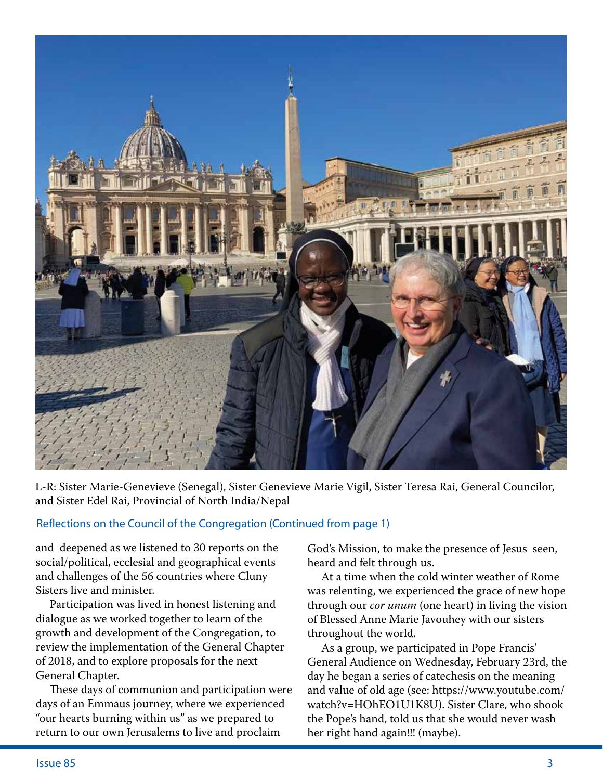

L-R: Sister Marie-Genevieve (Senegal), Sister Genevieve Marie Vigil, Sister Teresa Rai, General Councilor, and Sister Edel Rai, Provincial of North India/Nepal

#### Reflections on the Council of the Congregation (Continued from page 1)

and deepened as we listened to 30 reports on the social/political, ecclesial and geographical events and challenges of the 56 countries where Cluny Sisters live and minister.

 Participation was lived in honest listening and dialogue as we worked together to learn of the growth and development of the Congregation, to review the implementation of the General Chapter of 2018, and to explore proposals for the next General Chapter.

 These days of communion and participation were days of an Emmaus journey, where we experienced "our hearts burning within us" as we prepared to return to our own Jerusalems to live and proclaim

God's Mission, to make the presence of Jesus seen, heard and felt through us.

 At a time when the cold winter weather of Rome was relenting, we experienced the grace of new hope through our *cor unum* (one heart) in living the vision of Blessed Anne Marie Javouhey with our sisters throughout the world.

 As a group, we participated in Pope Francis' General Audience on Wednesday, February 23rd, the day he began a series of catechesis on the meaning and value of old age (see: https://www.youtube.com/ watch?v=HOhEO1U1K8U). Sister Clare, who shook the Pope's hand, told us that she would never wash her right hand again!!! (maybe).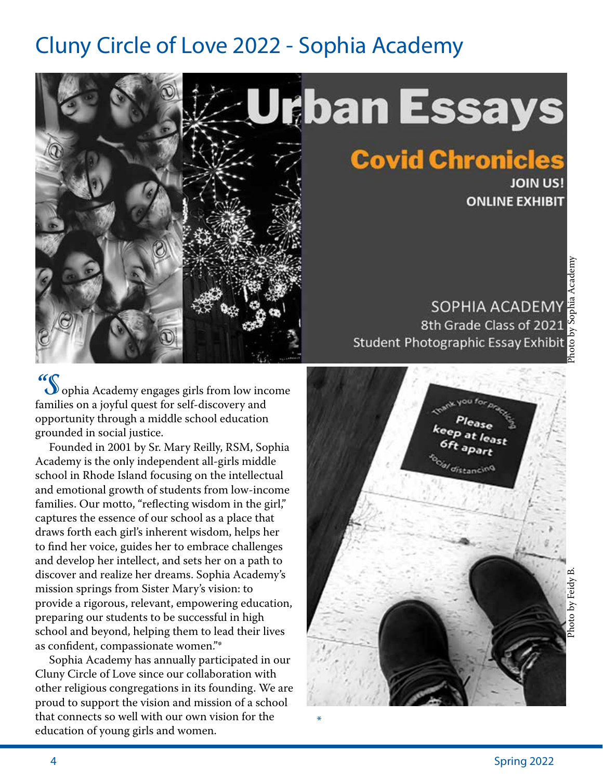### Cluny Circle of Love 2022 - Sophia Academy



**"S** ophia Academy engages girls from low income families on a joyful quest for self-discovery and opportunity through a middle school education grounded in social justice.

 Founded in 2001 by Sr. Mary Reilly, RSM, Sophia Academy is the only independent all-girls middle school in Rhode Island focusing on the intellectual and emotional growth of students from low-income families. Our motto, "reflecting wisdom in the girl," captures the essence of our school as a place that draws forth each girl's inherent wisdom, helps her to find her voice, guides her to embrace challenges and develop her intellect, and sets her on a path to discover and realize her dreams. Sophia Academy's mission springs from Sister Mary's vision: to provide a rigorous, relevant, empowering education, preparing our students to be successful in high school and beyond, helping them to lead their lives as confident, compassionate women."\*

 Sophia Academy has annually participated in our Cluny Circle of Love since our collaboration with other religious congregations in its founding. We are proud to support the vision and mission of a school that connects so well with our own vision for the education of young girls and women.

SOPHIA ACADEMY 8th Grade Class of 2021 Student Photographic Essay Exhibit

**Covid Chronicles** 



\*

**JOIN US!** 

**ONLINE EXHIBIT**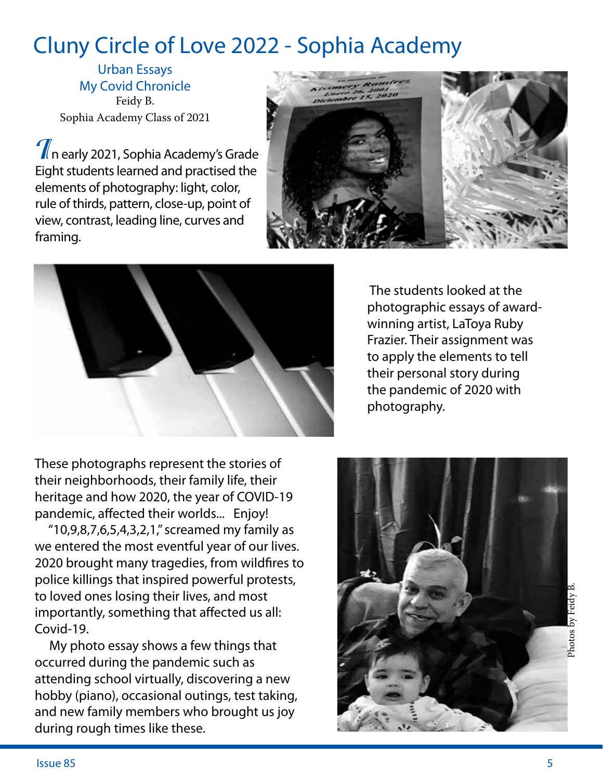## Cluny Circle of Love 2022 - Sophia Academy

Urban Essays My Covid Chronicle Feidy B. Sophia Academy Class of 2021

**I**n early 2021, Sophia Academy's Grade Eight students learned and practised the elements of photography: light, color, rule of thirds, pattern, close-up, point of view, contrast, leading line, curves and framing.





These photographs represent the stories of their neighborhoods, their family life, their heritage and how 2020, the year of COVID-19 pandemic, affected their worlds... Enjoy!

 "10,9,8,7,6,5,4,3,2,1," screamed my family as we entered the most eventful year of our lives. 2020 brought many tragedies, from wildfires to police killings that inspired powerful protests, to loved ones losing their lives, and most importantly, something that affected us all: Covid-19.

 My photo essay shows a few things that occurred during the pandemic such as attending school virtually, discovering a new hobby (piano), occasional outings, test taking, and new family members who brought us joy during rough times like these.

 The students looked at the photographic essays of awardwinning artist, LaToya Ruby Frazier. Their assignment was to apply the elements to tell their personal story during the pandemic of 2020 with photography.

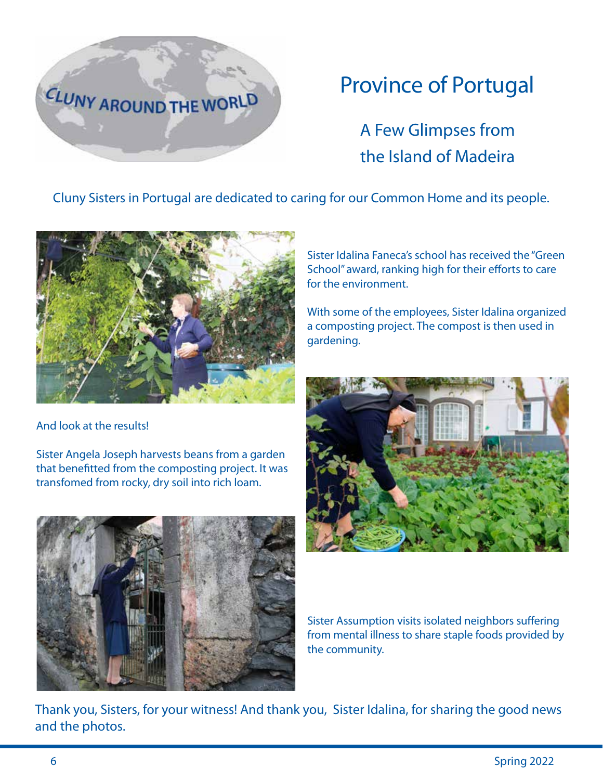

# Province of Portugal

A Few Glimpses from the Island of Madeira

Cluny Sisters in Portugal are dedicated to caring for our Common Home and its people.



And look at the results!

Sister Angela Joseph harvests beans from a garden that benefitted from the composting project. It was transfomed from rocky, dry soil into rich loam.

Sister Idalina Faneca's school has received the "Green School" award, ranking high for their efforts to care for the environment.

With some of the employees, Sister Idalina organized a composting project. The compost is then used in gardening.



Sister Assumption visits isolated neighbors suffering from mental illness to share staple foods provided by the community.

Thank you, Sisters, for your witness! And thank you, Sister Idalina, for sharing the good news and the photos.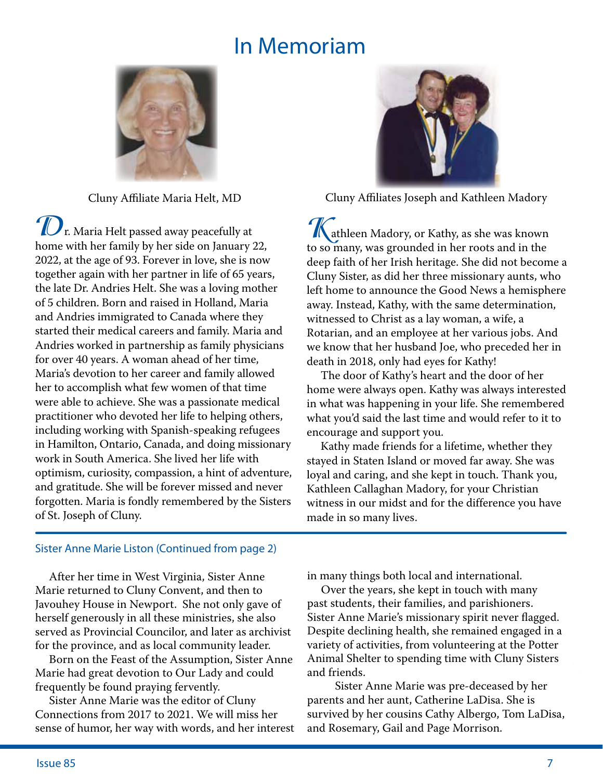### In Memoriam



Cluny Affiliate Maria Helt, MD

**D**<sub>r.</sub> Maria Helt passed away peacefully at home with her family by her side on January 22, 2022, at the age of 93. Forever in love, she is now together again with her partner in life of 65 years, the late Dr. Andries Helt. She was a loving mother of 5 children. Born and raised in Holland, Maria and Andries immigrated to Canada where they started their medical careers and family. Maria and Andries worked in partnership as family physicians for over 40 years. A woman ahead of her time, Maria's devotion to her career and family allowed her to accomplish what few women of that time were able to achieve. She was a passionate medical practitioner who devoted her life to helping others, including working with Spanish-speaking refugees in Hamilton, Ontario, Canada, and doing missionary work in South America. She lived her life with optimism, curiosity, compassion, a hint of adventure, and gratitude. She will be forever missed and never forgotten. Maria is fondly remembered by the Sisters of St. Joseph of Cluny.



Cluny Affiliates Joseph and Kathleen Madory

**K**athleen Madory, or Kathy, as she was known to so many, was grounded in her roots and in the deep faith of her Irish heritage. She did not become a Cluny Sister, as did her three missionary aunts, who left home to announce the Good News a hemisphere away. Instead, Kathy, with the same determination, witnessed to Christ as a lay woman, a wife, a Rotarian, and an employee at her various jobs. And we know that her husband Joe, who preceded her in death in 2018, only had eyes for Kathy!

 The door of Kathy's heart and the door of her home were always open. Kathy was always interested in what was happening in your life. She remembered what you'd said the last time and would refer to it to encourage and support you.

 Kathy made friends for a lifetime, whether they stayed in Staten Island or moved far away. She was loyal and caring, and she kept in touch. Thank you, Kathleen Callaghan Madory, for your Christian witness in our midst and for the difference you have made in so many lives.

#### Sister Anne Marie Liston (Continued from page 2)

 After her time in West Virginia, Sister Anne Marie returned to Cluny Convent, and then to Javouhey House in Newport. She not only gave of herself generously in all these ministries, she also served as Provincial Councilor, and later as archivist for the province, and as local community leader.

 Born on the Feast of the Assumption, Sister Anne Marie had great devotion to Our Lady and could frequently be found praying fervently.

 Sister Anne Marie was the editor of Cluny Connections from 2017 to 2021. We will miss her sense of humor, her way with words, and her interest in many things both local and international.

 Over the years, she kept in touch with many past students, their families, and parishioners. Sister Anne Marie's missionary spirit never flagged. Despite declining health, she remained engaged in a variety of activities, from volunteering at the Potter Animal Shelter to spending time with Cluny Sisters and friends.

 Sister Anne Marie was pre-deceased by her parents and her aunt, Catherine LaDisa. She is survived by her cousins Cathy Albergo, Tom LaDisa, and Rosemary, Gail and Page Morrison.